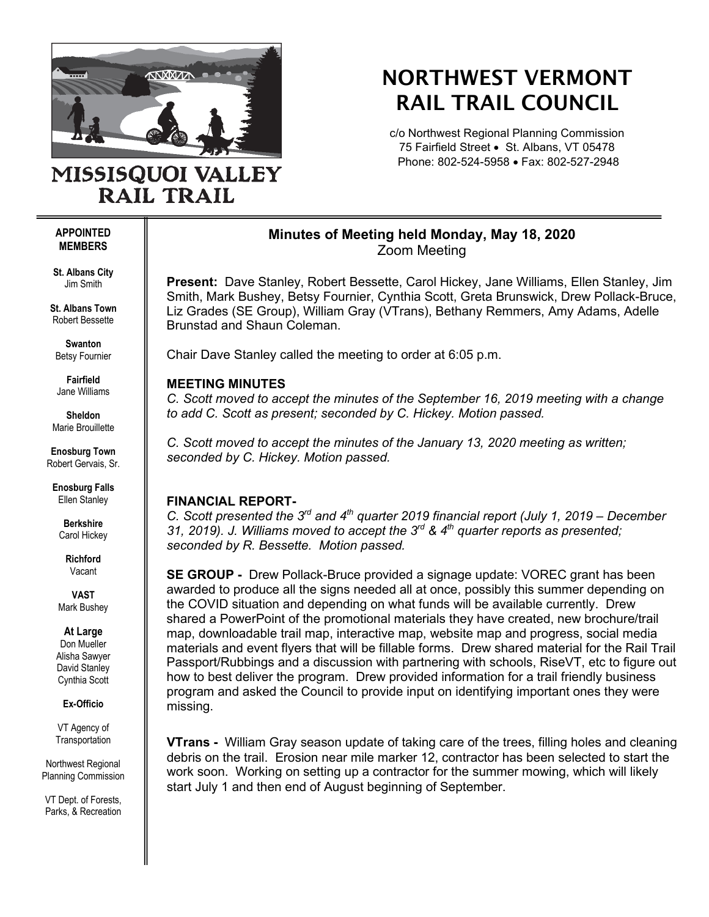

## NORTHWEST VERMONT RAIL TRAIL COUNCIL

c/o Northwest Regional Planning Commission 75 Fairfield Street • St. Albans, VT 05478 Phone: 802-524-5958 • Fax: 802-527-2948

# MISSISQUOI VALLEY **RAIL TRAIL**

#### **APPOINTED MEMBERS**

**St. Albans City** Jim Smith

**St. Albans Town** Robert Bessette

**Swanton** Betsy Fournier

**Fairfield** Jane Williams

**Sheldon** Marie Brouillette

**Enosburg Town** Robert Gervais, Sr.

**Enosburg Falls** Ellen Stanley

> **Berkshire** Carol Hickey

> > **Richford** Vacant

**VAST** Mark Bushey

**At Large**

Don Mueller Alisha Sawyer David Stanley Cynthia Scott

**Ex-Officio**

VT Agency of **Transportation** 

Northwest Regional Planning Commission

VT Dept. of Forests, Parks, & Recreation

## **Minutes of Meeting held Monday, May 18, 2020** Zoom Meeting

**Present:** Dave Stanley, Robert Bessette, Carol Hickey, Jane Williams, Ellen Stanley, Jim Smith, Mark Bushey, Betsy Fournier, Cynthia Scott, Greta Brunswick, Drew Pollack-Bruce, Liz Grades (SE Group), William Gray (VTrans), Bethany Remmers, Amy Adams, Adelle Brunstad and Shaun Coleman.

Chair Dave Stanley called the meeting to order at 6:05 p.m.

## **MEETING MINUTES**

*C. Scott moved to accept the minutes of the September 16, 2019 meeting with a change to add C. Scott as present; seconded by C. Hickey. Motion passed.* 

*C. Scott moved to accept the minutes of the January 13, 2020 meeting as written; seconded by C. Hickey. Motion passed.* 

## **FINANCIAL REPORT-**

*C. Scott presented the 3rd and 4th quarter 2019 financial report (July 1, 2019 – December 31, 2019). J. Williams moved to accept the 3rd & 4th quarter reports as presented; seconded by R. Bessette. Motion passed.*

**SE GROUP -** Drew Pollack-Bruce provided a signage update: VOREC grant has been awarded to produce all the signs needed all at once, possibly this summer depending on the COVID situation and depending on what funds will be available currently. Drew shared a PowerPoint of the promotional materials they have created, new brochure/trail map, downloadable trail map, interactive map, website map and progress, social media materials and event flyers that will be fillable forms. Drew shared material for the Rail Trail Passport/Rubbings and a discussion with partnering with schools, RiseVT, etc to figure out how to best deliver the program. Drew provided information for a trail friendly business program and asked the Council to provide input on identifying important ones they were missing.

**VTrans -** William Gray season update of taking care of the trees, filling holes and cleaning debris on the trail. Erosion near mile marker 12, contractor has been selected to start the work soon. Working on setting up a contractor for the summer mowing, which will likely start July 1 and then end of August beginning of September.